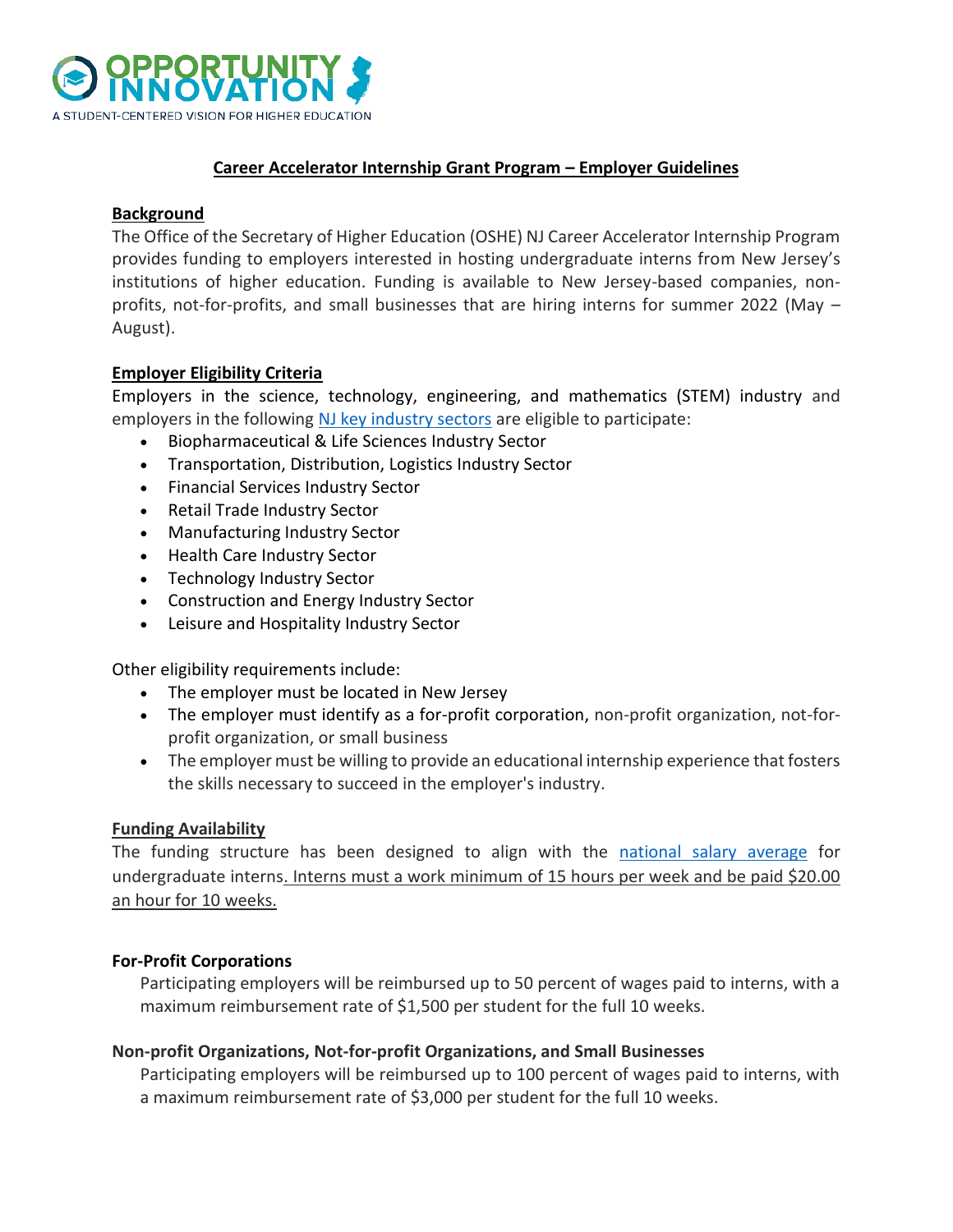

### **Career Accelerator Internship Grant Program – Employer Guidelines**

#### **Background**

The Office of the Secretary of Higher Education (OSHE) NJ Career Accelerator Internship Program provides funding to employers interested in hosting undergraduate interns from New Jersey's institutions of higher education. Funding is available to New Jersey-based companies, nonprofits, not-for-profits, and small businesses that are hiring interns for summer 2022 (May – August).

### **Employer Eligibility Criteria**

Employers in the science, technology, engineering, and mathematics (STEM) industry and employers in the following [NJ key industry sectors](https://www.nj.gov/labor/lpa/pub/lmv/cluster_handout.pdf) are eligible to participate:

- Biopharmaceutical & Life Sciences Industry Sector
- Transportation, Distribution, Logistics Industry Sector
- Financial Services Industry Sector
- Retail Trade Industry Sector
- Manufacturing Industry Sector
- Health Care Industry Sector
- Technology Industry Sector
- Construction and Energy Industry Sector
- Leisure and Hospitality Industry Sector

Other eligibility requirements include:

- The employer must be located in New Jersey
- The employer must identify as a for-profit corporation, non-profit organization, not-forprofit organization, or small business
- The employer must be willing to provide an educational internship experience that fosters the skills necessary to succeed in the employer's industry.

### **Funding Availability**

The funding structure has been designed to align with the [national salary average](https://www.naceweb.org/job-market/compensation/current-benchmarks/) for undergraduate interns. Interns must a work minimum of 15 hours per week and be paid \$20.00 an hour for 10 weeks.

### **For-Profit Corporations**

Participating employers will be reimbursed up to 50 percent of wages paid to interns, with a maximum reimbursement rate of \$1,500 per student for the full 10 weeks.

### **Non-profit Organizations, Not-for-profit Organizations, and Small Businesses**

Participating employers will be reimbursed up to 100 percent of wages paid to interns, with a maximum reimbursement rate of \$3,000 per student for the full 10 weeks.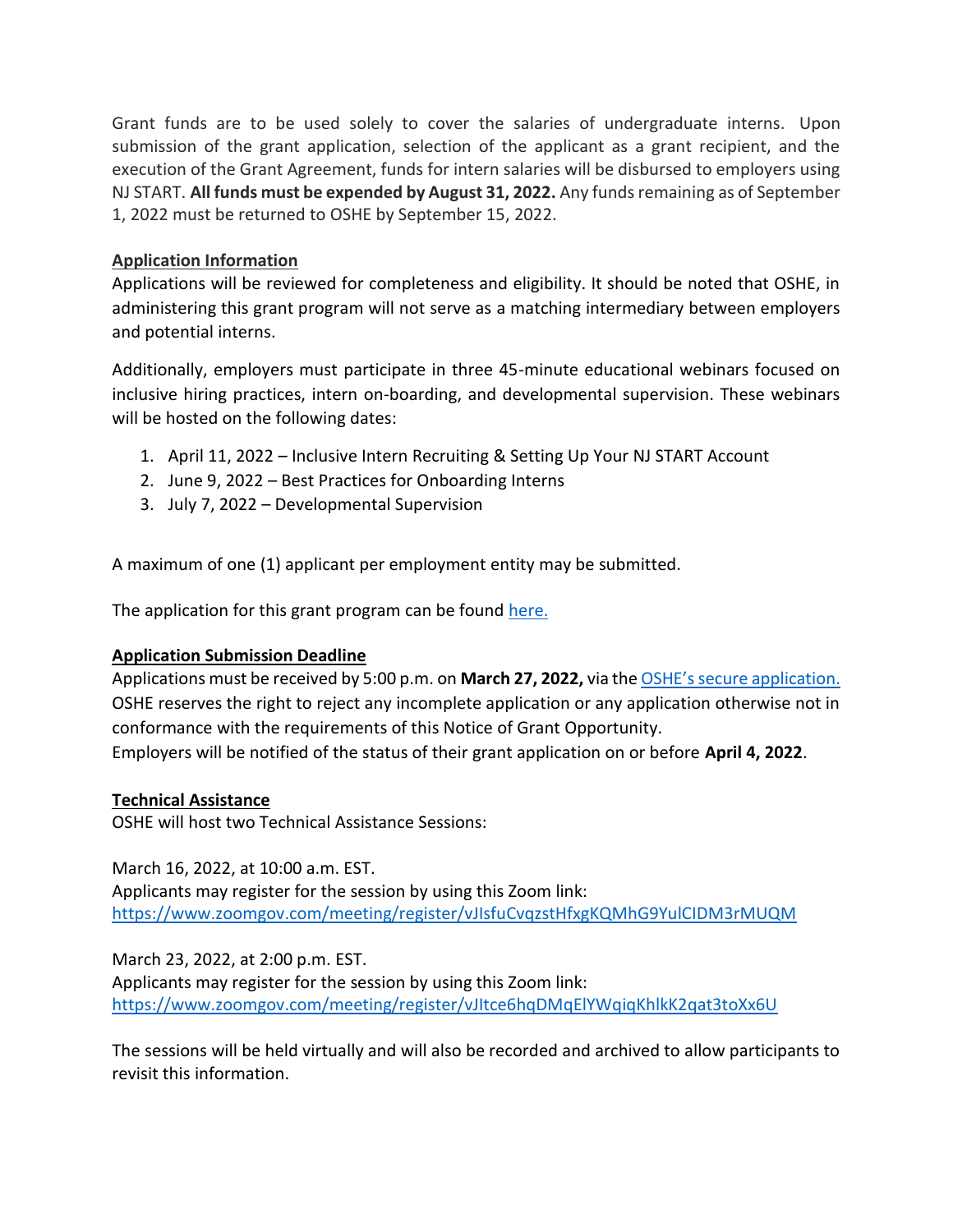Grant funds are to be used solely to cover the salaries of undergraduate interns. Upon submission of the grant application, selection of the applicant as a grant recipient, and the execution of the Grant Agreement, funds for intern salaries will be disbursed to employers using NJ START. **All funds must be expended by August 31, 2022.** Any funds remaining as of September 1, 2022 must be returned to OSHE by September 15, 2022.

# **Application Information**

Applications will be reviewed for completeness and eligibility. It should be noted that OSHE, in administering this grant program will not serve as a matching intermediary between employers and potential interns.

Additionally, employers must participate in three 45-minute educational webinars focused on inclusive hiring practices, intern on-boarding, and developmental supervision. These webinars will be hosted on the following dates:

- 1. April 11, 2022 Inclusive Intern Recruiting & Setting Up Your NJ START Account
- 2. June 9, 2022 Best Practices for Onboarding Interns
- 3. July 7, 2022 Developmental Supervision

A maximum of one (1) applicant per employment entity may be submitted.

The application for this grant program can be found [here.](https://oshe.co1.qualtrics.com/jfe/form/SV_6P6alWpg1MZ6KmW)

# **Application Submission Deadline**

Applications must be received by 5:00 p.m. on **March 27, 2022,** via the [OSHE's secure application.](https://oshe.co1.qualtrics.com/jfe/form/SV_6P6alWpg1MZ6KmW) OSHE reserves the right to reject any incomplete application or any application otherwise not in conformance with the requirements of this Notice of Grant Opportunity. Employers will be notified of the status of their grant application on or before **April 4, 2022**.

### **Technical Assistance**

OSHE will host two Technical Assistance Sessions:

March 16, 2022, at 10:00 a.m. EST.

Applicants may register for the session by using this Zoom link: <https://www.zoomgov.com/meeting/register/vJIsfuCvqzstHfxgKQMhG9YulCIDM3rMUQM>

March 23, 2022, at 2:00 p.m. EST. Applicants may register for the session by using this Zoom link: <https://www.zoomgov.com/meeting/register/vJItce6hqDMqElYWqiqKhlkK2qat3toXx6U>

The sessions will be held virtually and will also be recorded and archived to allow participants to revisit this information.